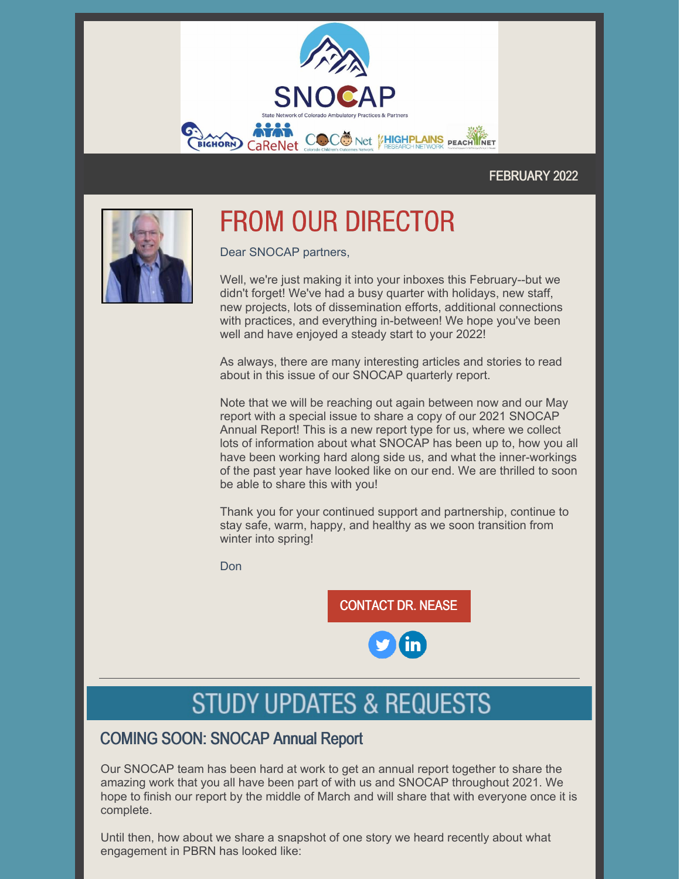

### FEBRUARY 2022



# **FROM OUR DIRECTOR**

Dear SNOCAP partners,

Well, we're just making it into your inboxes this February--but we didn't forget! We've had a busy quarter with holidays, new staff, new projects, lots of dissemination efforts, additional connections with practices, and everything in-between! We hope you've been well and have enjoyed a steady start to your 2022!

As always, there are many interesting articles and stories to read about in this issue of our SNOCAP quarterly report.

Note that we will be reaching out again between now and our May report with a special issue to share a copy of our 2021 SNOCAP Annual Report! This is a new report type for us, where we collect lots of information about what SNOCAP has been up to, how you all have been working hard along side us, and what the inner-workings of the past year have looked like on our end. We are thrilled to soon be able to share this with you!

Thank you for your continued support and partnership, continue to stay safe, warm, happy, and healthy as we soon transition from winter into spring!

Don

[CONTACT](mailto:donald.nease@cuanschutz.edu) DR. NEASE

# **STUDY UPDATES & REQUESTS**

## COMING SOON: SNOCAP Annual Report

Our SNOCAP team has been hard at work to get an annual report together to share the amazing work that you all have been part of with us and SNOCAP throughout 2021. We hope to finish our report by the middle of March and will share that with everyone once it is complete.

Until then, how about we share a snapshot of one story we heard recently about what engagement in PBRN has looked like: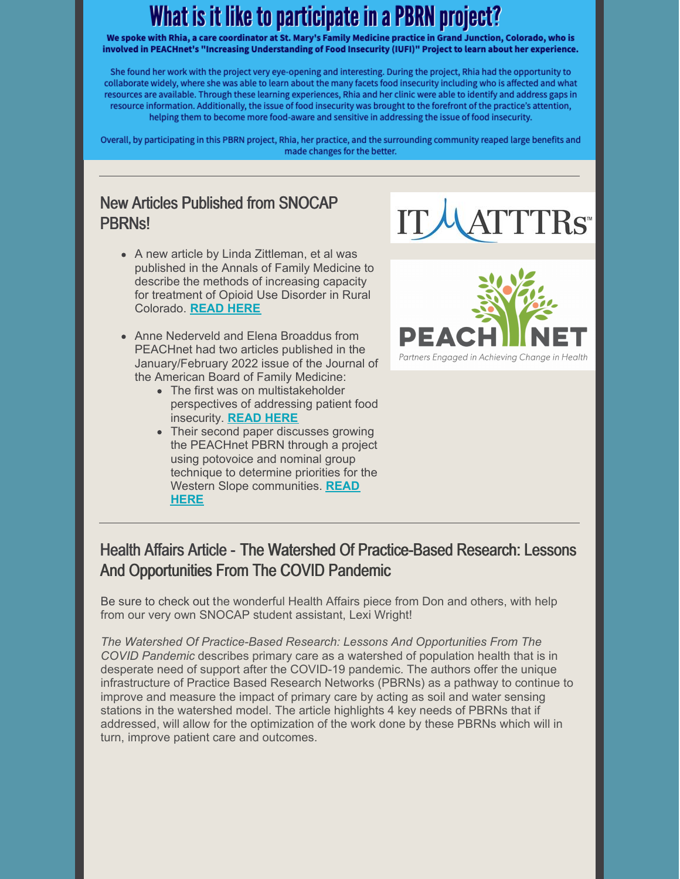# What is it like to participate in a PBRN project?

We spoke with Rhia, a care coordinator at St. Mary's Family Medicine practice in Grand Junction, Colorado, who is involved in PEACHnet's "Increasing Understanding of Food Insecurity (IUFI)" Project to learn about her experience.

She found her work with the project very eye-opening and interesting. During the project, Rhia had the opportunity to collaborate widely, where she was able to learn about the many facets food insecurity including who is affected and what resources are available. Through these learning experiences, Rhia and her clinic were able to identify and address gaps in resource information. Additionally, the issue of food insecurity was brought to the forefront of the practice's attention, helping them to become more food-aware and sensitive in addressing the issue of food insecurity.

Overall, by participating in this PBRN project, Rhia, her practice, and the surrounding community reaped large benefits and made changes for the better.

## New Articles Published from SNOCAP PBRNs!



- A new article by Linda Zittleman, et al was published in the Annals of Family Medicine to describe the methods of increasing capacity for treatment of Opioid Use Disorder in Rural Colorado. **[READ](https://www.annfammed.org/content/20/1/18) HERE**
- Anne Nederveld and Elena Broaddus from PEACHnet had two articles published in the January/February 2022 issue of the Journal of the American Board of Family Medicine:
	- The first was on multistakeholder perspectives of addressing patient food insecurity. **[READ](https://www.jabfm.org/content/35/1/85.long) HERE**
	- Their second paper discusses growing the PEACHnet PBRN through a project using potovoice and nominal group technique to determine priorities for the Western Slope [communities.](https://www.jabfm.org/content/35/1/115.long) **READ HERE**



## Health Affairs Article - The Watershed Of Practice-Based Research: Lessons And Opportunities From The COVID Pandemic

Be sure to check out the wonderful Health Affairs piece from Don and others, with help from our very own SNOCAP student assistant, Lexi Wright!

*The Watershed Of Practice-Based Research: Lessons And Opportunities From The COVID Pandemic* describes primary care as a watershed of population health that is in desperate need of support after the COVID-19 pandemic. The authors offer the unique infrastructure of Practice Based Research Networks (PBRNs) as a pathway to continue to improve and measure the impact of primary care by acting as soil and water sensing stations in the watershed model. The article highlights 4 key needs of PBRNs that if addressed, will allow for the optimization of the work done by these PBRNs which will in turn, improve patient care and outcomes.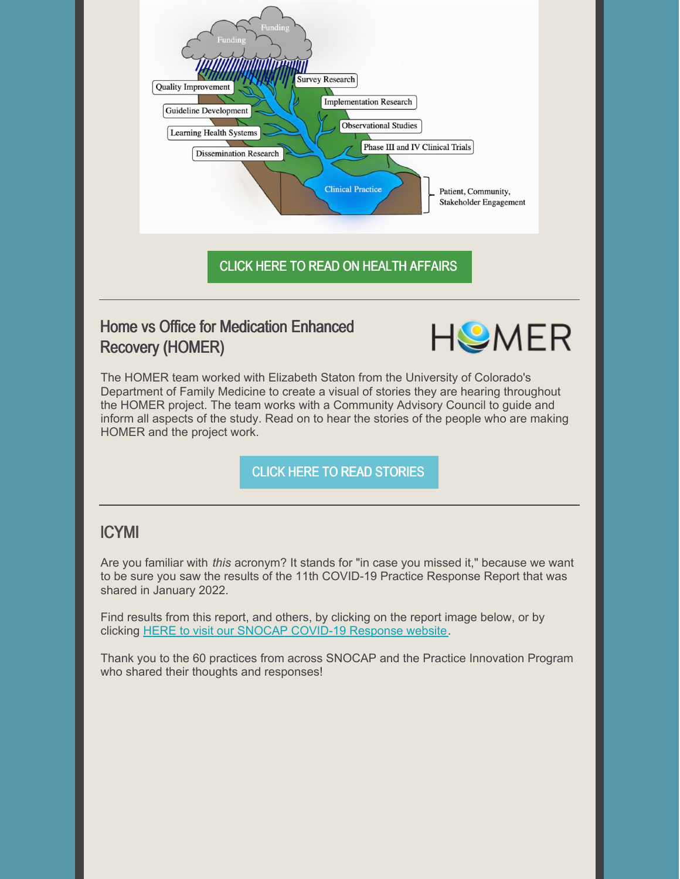

## Home vs Office for Medication Enhanced Recovery (HOMER)



The HOMER team worked with Elizabeth Staton from the University of Colorado's Department of Family Medicine to create a visual of stories they are hearing throughout the HOMER project. The team works with a Community Advisory Council to guide and inform all aspects of the study. Read on to hear the stories of the people who are making HOMER and the project work.

### CLICK HERE TO READ [STORIES](https://storymaps.arcgis.com/stories/22bfebee04e5496d9e429b0f971e20eb)

### ICYMI

Are you familiar with *this* acronym? It stands for "in case you missed it," because we want to be sure you saw the results of the 11th COVID-19 Practice Response Report that was shared in January 2022.

Find results from this report, and others, by clicking on the report image below, or by clicking HERE to visit our SNOCAP [COVID-19](https://medschool.cuanschutz.edu/family-medicine/community/practice-based-research-networks/covid-work-and-resources#ac-covid-survey-11-results-and-resources-10) Response website.

Thank you to the 60 practices from across SNOCAP and the Practice Innovation Program who shared their thoughts and responses!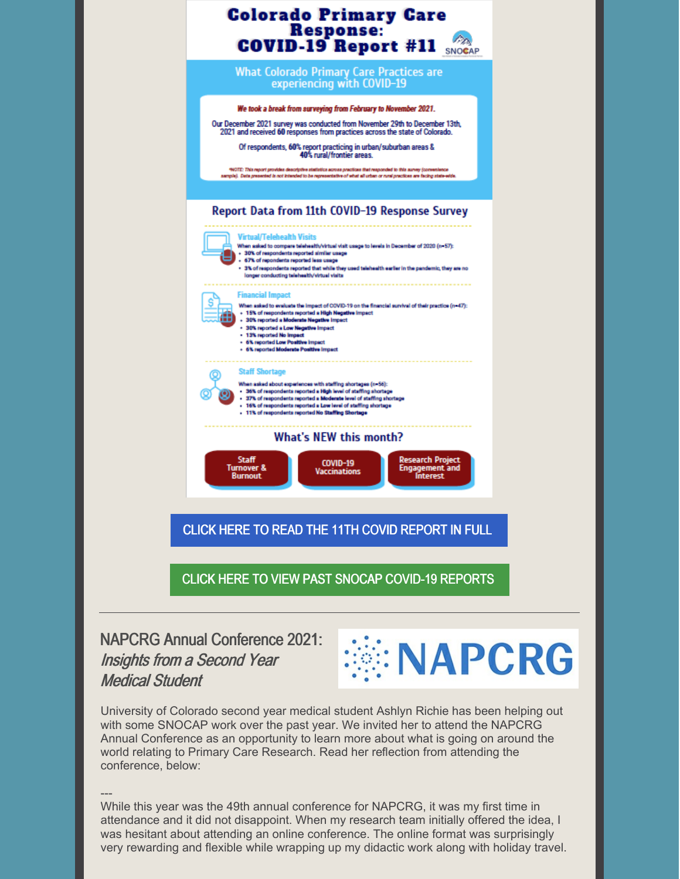

NAPCRG Annual Conference 2021: Insights from <sup>a</sup> Second Year Medical Student



University of Colorado second year medical student Ashlyn Richie has been helping out with some SNOCAP work over the past year. We invited her to attend the NAPCRG Annual Conference as an opportunity to learn more about what is going on around the world relating to Primary Care Research. Read her reflection from attending the conference, below:

--- While this year was the 49th annual conference for NAPCRG, it was my first time in attendance and it did not disappoint. When my research team initially offered the idea, I was hesitant about attending an online conference. The online format was surprisingly very rewarding and flexible while wrapping up my didactic work along with holiday travel.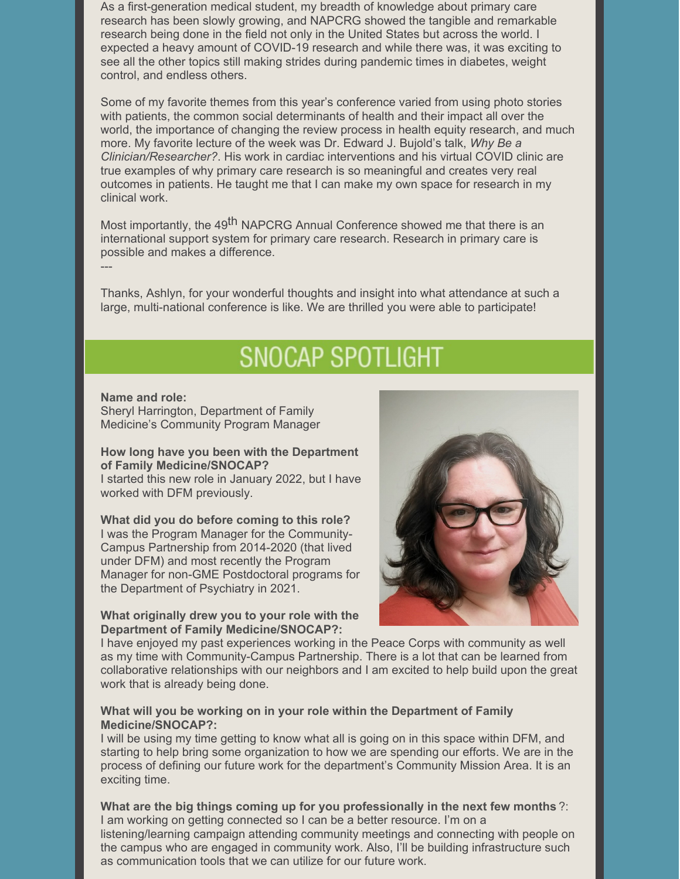As a first-generation medical student, my breadth of knowledge about primary care research has been slowly growing, and NAPCRG showed the tangible and remarkable research being done in the field not only in the United States but across the world. I expected a heavy amount of COVID-19 research and while there was, it was exciting to see all the other topics still making strides during pandemic times in diabetes, weight control, and endless others.

Some of my favorite themes from this year's conference varied from using photo stories with patients, the common social determinants of health and their impact all over the world, the importance of changing the review process in health equity research, and much more. My favorite lecture of the week was Dr. Edward J. Bujold's talk, *Why Be a Clinician/Researcher?*. His work in cardiac interventions and his virtual COVID clinic are true examples of why primary care research is so meaningful and creates very real outcomes in patients. He taught me that I can make my own space for research in my clinical work.

Most importantly, the 49<sup>th</sup> NAPCRG Annual Conference showed me that there is an international support system for primary care research. Research in primary care is possible and makes a difference.

Thanks, Ashlyn, for your wonderful thoughts and insight into what attendance at such a large, multi-national conference is like. We are thrilled you were able to participate!

# **SNOCAP SPOTLIGHT**

#### **Name and role:**

---

Sheryl Harrington, Department of Family Medicine's Community Program Manager

#### **How long have you been with the Department of Family Medicine/SNOCAP?**

I started this new role in January 2022, but I have worked with DFM previously.

**What did you do before coming to this role?** I was the Program Manager for the Community-Campus Partnership from 2014-2020 (that lived under DFM) and most recently the Program Manager for non-GME Postdoctoral programs for the Department of Psychiatry in 2021.

#### **What originally drew you to your role with the Department of Family Medicine/SNOCAP?:**



I have enjoyed my past experiences working in the Peace Corps with community as well as my time with Community-Campus Partnership. There is a lot that can be learned from collaborative relationships with our neighbors and I am excited to help build upon the great work that is already being done.

#### **What will you be working on in your role within the Department of Family Medicine/SNOCAP?:**

I will be using my time getting to know what all is going on in this space within DFM, and starting to help bring some organization to how we are spending our efforts. We are in the process of defining our future work for the department's Community Mission Area. It is an exciting time.

**What are the big things coming up for you professionally in the next few months** ?: I am working on getting connected so I can be a better resource. I'm on a listening/learning campaign attending community meetings and connecting with people on the campus who are engaged in community work. Also, I'll be building infrastructure such as communication tools that we can utilize for our future work.